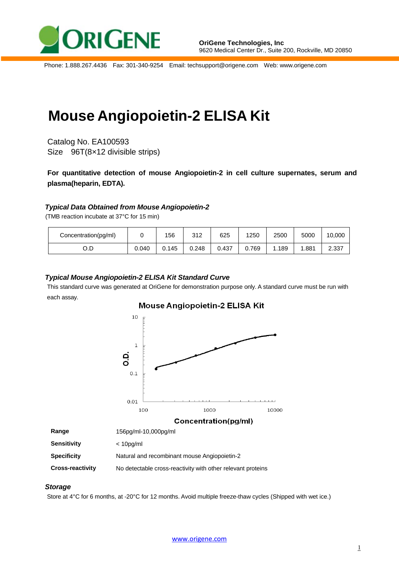

Phone: 1.888.267.4436 Fax: 301-340-9254 Email: techsupport@origene.com Web: www.origene.com

# **Mouse Angiopoietin-2 ELISA Kit**

Catalog No. EA100593 Size 96T(8×12 divisible strips)

**For quantitative detection of mouse Angiopoietin-2 in cell culture supernates, serum and plasma(heparin, EDTA).**

## *Typical Data Obtained from Mouse Angiopoietin-2*

(TMB reaction incubate at 37°C for 15 min)

| Concentration(pg/ml) |       | 156   | 210<br>ے ا ت | 625   | 1250  | 2500 | 5000 | 10,000 |
|----------------------|-------|-------|--------------|-------|-------|------|------|--------|
| U.D                  | 0.040 | 0.145 | 0.248        | 0.437 | 0.769 | .189 | .881 | 2.337  |

## *Typical Mouse Angiopoietin-2 ELISA Kit Standard Curve*

This standard curve was generated at OriGene for demonstration purpose only. A standard curve must be run with each assay.



## **Cross-reactivity** No detectable cross-reactivity with other relevant proteins

## *Storage*

Store at 4°C for 6 months, at -20°C for 12 months. Avoid multiple freeze-thaw cycles (Shipped with wet ice.)

[www.origene.com](http://www.origene.com/)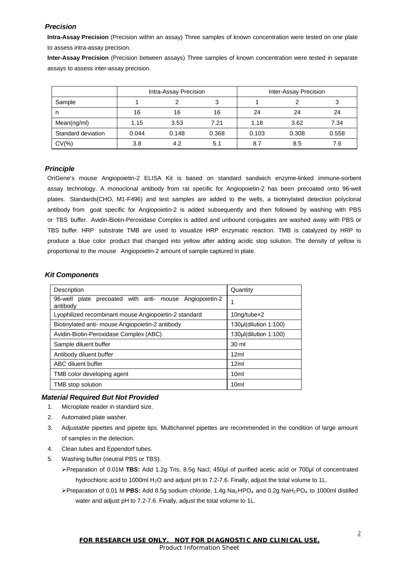## *Precision*

**Intra-Assay Precision** (Precision within an assay) Three samples of known concentration were tested on one plate to assess intra-assay precision.

**Inter-Assay Precision** (Precision between assays) Three samples of known concentration were tested in separate assays to assess inter-assay precision.

|                    | Intra-Assay Precision |       |       | Inter-Assay Precision |       |       |
|--------------------|-----------------------|-------|-------|-----------------------|-------|-------|
| Sample             |                       |       | 3     |                       |       |       |
| n                  | 16                    | 16    | 16    | 24                    | 24    | 24    |
| Mean(ng/ml)        | 1.15                  | 3.53  | 7.21  | 1.18                  | 3.62  | 7.34  |
| Standard deviation | 0.044                 | 0.148 | 0.368 | 0.103                 | 0.308 | 0.558 |
| $CV(\% )$          | 3.8                   | 4.2   | 5.1   | 8.7                   | 8.5   | 7.6   |

## *Principle*

OriGene's mouse Angiopoietin-2 ELISA Kit is based on standard sandwich enzyme-linked immune-sorbent assay technology. A monoclonal antibody from rat specific for Angiopoietin-2 has been precoated onto 96-well plates. Standards(CHO, M1-F496) and test samples are added to the wells, a biotinylated detection polyclonal antibody from goat specific for Angiopoietin-2 is added subsequently and then followed by washing with PBS or TBS buffer. Avidin-Biotin-Peroxidase Complex is added and unbound conjugates are washed away with PBS or TBS buffer. HRP substrate TMB are used to visualize HRP enzymatic reaction. TMB is catalyzed by HRP to produce a blue color product that changed into yellow after adding acidic stop solution. The density of yellow is proportional to the mouse Angiopoietin-2 amount of sample captured in plate.

## *Kit Components*

| Description                                                         | Quantity              |  |  |
|---------------------------------------------------------------------|-----------------------|--|--|
| 96-well plate precoated with anti- mouse Angiopoietin-2<br>antibody |                       |  |  |
| Lyophilized recombinant mouse Angiopoietin-2 standard               | 10ng/tubex2           |  |  |
| Biotinylated anti- mouse Angiopoietin-2 antibody                    | 130µl(dilution 1:100) |  |  |
| Avidin-Biotin-Peroxidase Complex (ABC)                              | 130µl(dilution 1:100) |  |  |
| Sample diluent buffer                                               | 30 ml                 |  |  |
| Antibody diluent buffer                                             | 12ml                  |  |  |
| ABC diluent buffer                                                  | 12ml                  |  |  |
| TMB color developing agent                                          | 10 <sub>m</sub>       |  |  |
| TMB stop solution                                                   | 10 <sub>ml</sub>      |  |  |

## *Material Required But Not Provided*

- 1. Microplate reader in standard size.
- 2. Automated plate washer.
- 3. Adjustable pipettes and pipette tips. Multichannel pipettes are recommended in the condition of large amount of samples in the detection.
- 4. Clean tubes and Eppendorf tubes.
- 5. Washing buffer (neutral PBS or TBS).
	- Preparation of 0.01M **TBS:** Add 1.2g Tris, 8.5g Nacl; 450μl of purified acetic acid or 700μl of concentrated hydrochloric acid to 1000ml H<sub>2</sub>O and adjust pH to 7.2-7.6. Finally, adjust the total volume to 1L.
	- $\triangleright$  Preparation of 0.01 M **PBS:** Add 8.5g sodium chloride, 1.4g Na<sub>2</sub>HPO<sub>4</sub> and 0.2g NaH<sub>2</sub>PO<sub>4</sub> to 1000ml distilled water and adjust pH to 7.2-7.6. Finally, adjust the total volume to 1L.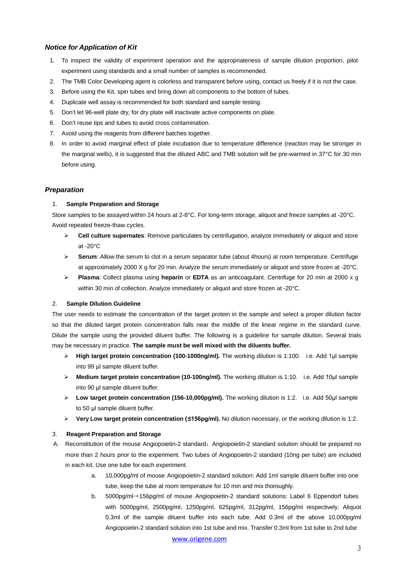## *Notice for Application of Kit*

- 1. To inspect the validity of experiment operation and the appropriateness of sample dilution proportion, pilot experiment using standards and a small number of samples is recommended.
- 2. The TMB Color Developing agent is colorless and transparent before using, contact us freely if it is not the case.
- 3. Before using the Kit, spin tubes and bring down all components to the bottom of tubes.
- 4. Duplicate well assay is recommended for both standard and sample testing.
- 5. Don't let 96-well plate dry, for dry plate will inactivate active components on plate.
- 6. Don't reuse tips and tubes to avoid cross contamination.
- 7. Avoid using the reagents from different batches together.
- 8. In order to avoid marginal effect of plate incubation due to temperature difference (reaction may be stronger in the marginal wells), it is suggested that the diluted ABC and TMB solution will be pre-warmed in 37°C for 30 min before using.

## *Preparation*

## 1. **Sample Preparation and Storage**

Store samples to be assayed within 24 hours at 2-8°C. For long-term storage, aliquot and freeze samples at -20°C. Avoid repeated freeze-thaw cycles.

- **Cell culture supernates**: Remove particulates by centrifugation, analyze immediately or aliquot and store at -20°C
- **►** Serum: Allow the serum to clot in a serum separator tube (about 4hours) at room temperature. Centrifuge at approximately 2000 X g for 20 min. Analyze the serum immediately or aliquot and store frozen at -20°C.
- **Plasma**: Collect plasma using **heparin** or **EDTA** as an anticoagulant. Centrifuge for 20 min at 2000 x g within 30 min of collection. Analyze immediately or aliquot and store frozen at -20°C.

## 2. **Sample Dilution Guideline**

The user needs to estimate the concentration of the target protein in the sample and select a proper dilution factor so that the diluted target protein concentration falls near the middle of the linear regime in the standard curve. Dilute the sample using the provided diluent buffer. The following is a guideline for sample dilution. Several trials may be necessary in practice. **The sample must be well mixed with the diluents buffer.**

- **High target protein concentration (100-1000ng/ml).** The working dilution is 1:100. i.e. Add 1μl sample into 99 μl sample diluent buffer.
- **Medium target protein concentration (10-100ng/ml).** The working dilution is 1:10. i.e. Add 10μl sample into 90 μl sample diluent buffer.
- **Low target protein concentration (156-10,000pg/ml).** The working dilution is 1:2. i.e. Add 50μl sample to 50 μl sample diluent buffer.
- **Very Low target protein concentration (≤156pg/ml).** No dilution necessary, or the working dilution is 1:2.

## 3. **Reagent Preparation and Storage**

- A. Reconstitution of the mouse Angiopoietin-2 standard: Angiopoietin-2 standard solution should be prepared no more than 2 hours prior to the experiment. Two tubes of Angiopoietin-2 standard (10ng per tube) are included in each kit. Use one tube for each experiment.
	- a. 10,000pg/ml of mouse Angiopoietin-2 standard solution: Add 1ml sample diluent buffer into one tube, keep the tube at room temperature for 10 min and mix thoroughly.
	- b. 5000pg/ml→156pg/ml of mouse Angiopoietin-2 standard solutions: Label 6 Eppendorf tubes with 5000pg/ml, 2500pg/ml, 1250pg/ml, 625pg/ml, 312pg/ml, 156pg/ml respectively. Aliquot 0.3ml of the sample diluent buffer into each tube. Add 0.3ml of the above 10,000pg/ml Angiopoietin-2 standard solution into 1st tube and mix. Transfer 0.3ml from 1st tube to 2nd tube

[www.origene.com](http://www.origene.com/)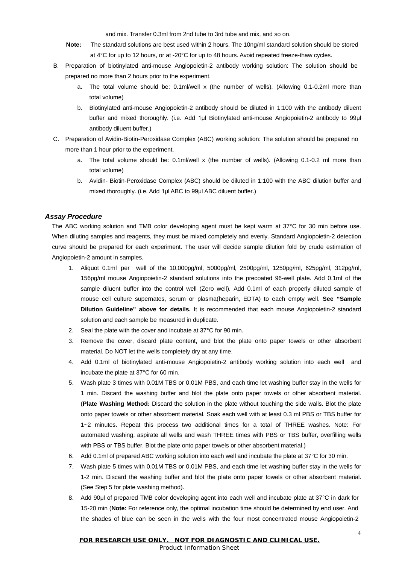and mix. Transfer 0.3ml from 2nd tube to 3rd tube and mix, and so on.

- **Note:** The standard solutions are best used within 2 hours. The 10ng/ml standard solution should be stored at 4°C for up to 12 hours, or at -20°C for up to 48 hours. Avoid repeated freeze-thaw cycles.
- B. Preparation of biotinylated anti-mouse Angiopoietin-2 antibody working solution: The solution should be prepared no more than 2 hours prior to the experiment.
	- a. The total volume should be: 0.1ml/well x (the number of wells). (Allowing 0.1-0.2ml more than total volume)
	- b. Biotinylated anti-mouse Angiopoietin-2 antibody should be diluted in 1:100 with the antibody diluent buffer and mixed thoroughly. (i.e. Add 1μl Biotinylated anti-mouse Angiopoietin-2 antibody to 99μl antibody diluent buffer.)
- C. Preparation of Avidin-Biotin-Peroxidase Complex (ABC) working solution: The solution should be prepared no more than 1 hour prior to the experiment.
	- a. The total volume should be: 0.1ml/well x (the number of wells). (Allowing 0.1-0.2 ml more than total volume)
	- b. Avidin- Biotin-Peroxidase Complex (ABC) should be diluted in 1:100 with the ABC dilution buffer and mixed thoroughly. (i.e. Add 1μl ABC to 99μl ABC diluent buffer.)

## *Assay Procedure*

The ABC working solution and TMB color developing agent must be kept warm at 37°C for 30 min before use. When diluting samples and reagents, they must be mixed completely and evenly. Standard Angiopoietin-2 detection curve should be prepared for each experiment. The user will decide sample dilution fold by crude estimation of Angiopoietin-2 amount in samples.

- 1. Aliquot 0.1ml per well of the 10,000pg/ml, 5000pg/ml, 2500pg/ml, 1250pg/ml, 625pg/ml, 312pg/ml, 156pg/ml mouse Angiopoietin-2 standard solutions into the precoated 96-well plate. Add 0.1ml of the sample diluent buffer into the control well (Zero well). Add 0.1ml of each properly diluted sample of mouse cell culture supernates, serum or plasma(heparin, EDTA) to each empty well. **See "Sample Dilution Guideline" above for details.** It is recommended that each mouse Angiopoietin-2 standard solution and each sample be measured in duplicate.
- 2. Seal the plate with the cover and incubate at 37°C for 90 min.
- 3. Remove the cover, discard plate content, and blot the plate onto paper towels or other absorbent material. Do NOT let the wells completely dry at any time.
- 4. Add 0.1ml of biotinylated anti-mouse Angiopoietin-2 antibody working solution into each well and incubate the plate at 37°C for 60 min.
- 5. Wash plate 3 times with 0.01M TBS or 0.01M PBS, and each time let washing buffer stay in the wells for 1 min. Discard the washing buffer and blot the plate onto paper towels or other absorbent material. (**Plate Washing Method:** Discard the solution in the plate without touching the side walls. Blot the plate onto paper towels or other absorbent material. Soak each well with at least 0.3 ml PBS or TBS buffer for 1~2 minutes. Repeat this process two additional times for a total of THREE washes. Note: For automated washing, aspirate all wells and wash THREE times with PBS or TBS buffer, overfilling wells with PBS or TBS buffer. Blot the plate onto paper towels or other absorbent material.)
- 6. Add 0.1ml of prepared ABC working solution into each well and incubate the plate at 37°C for 30 min.
- 7. Wash plate 5 times with 0.01M TBS or 0.01M PBS, and each time let washing buffer stay in the wells for 1-2 min. Discard the washing buffer and blot the plate onto paper towels or other absorbent material. (See Step 5 for plate washing method).
- 8. Add 90μl of prepared TMB color developing agent into each well and incubate plate at 37°C in dark for 15-20 min (**Note:** For reference only, the optimal incubation time should be determined by end user. And the shades of blue can be seen in the wells with the four most concentrated mouse Angiopoietin-2